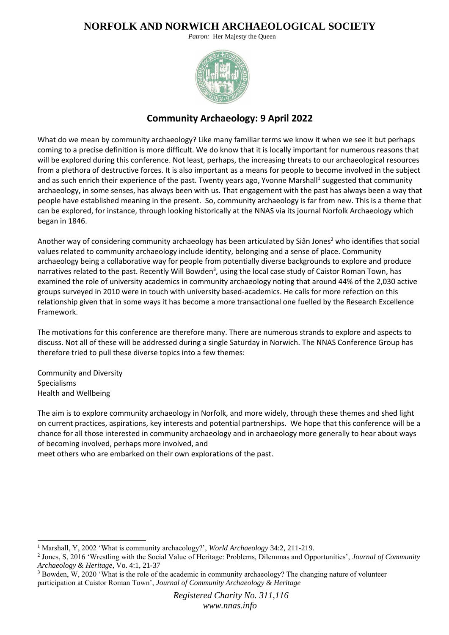*Patron:* Her Majesty the Queen



## **Community Archaeology: 9 April 2022**

What do we mean by community archaeology? Like many familiar terms we know it when we see it but perhaps coming to a precise definition is more difficult. We do know that it is locally important for numerous reasons that will be explored during this conference. Not least, perhaps, the increasing threats to our archaeological resources from a plethora of destructive forces. It is also important as a means for people to become involved in the subject and as such enrich their experience of the past. Twenty years ago, Yvonne Marshall<sup>1</sup> suggested that community archaeology, in some senses, has always been with us. That engagement with the past has always been a way that people have established meaning in the present. So, community archaeology is far from new. This is a theme that can be explored, for instance, through looking historically at the NNAS via its journal Norfolk Archaeology which began in 1846.

Another way of considering community archaeology has been articulated by Siân Jones<sup>2</sup> who identifies that social values related to community archaeology include identity, belonging and a sense of place. Community archaeology being a collaborative way for people from potentially diverse backgrounds to explore and produce narratives related to the past. Recently Will Bowden<sup>3</sup>, using the local case study of Caistor Roman Town, has examined the role of university academics in community archaeology noting that around 44% of the 2,030 active groups surveyed in 2010 were in touch with university based-academics. He calls for more refection on this relationship given that in some ways it has become a more transactional one fuelled by the Research Excellence Framework.

The motivations for this conference are therefore many. There are numerous strands to explore and aspects to discuss. Not all of these will be addressed during a single Saturday in Norwich. The NNAS Conference Group has therefore tried to pull these diverse topics into a few themes:

Community and Diversity Specialisms Health and Wellbeing

The aim is to explore community archaeology in Norfolk, and more widely, through these themes and shed light on current practices, aspirations, key interests and potential partnerships. We hope that this conference will be a chance for all those interested in community archaeology and in archaeology more generally to hear about ways of becoming involved, perhaps more involved, and

meet others who are embarked on their own explorations of the past.

<sup>1</sup> Marshall, Y, 2002 'What is community archaeology?', *World Archaeology* 34:2, 211-219.

<sup>2</sup> Jones, S, 2016 'Wrestling with the Social Value of Heritage: Problems, Dilemmas and Opportunities', *Journal of Community Archaeology & Heritage*, Vo. 4:1, 21-37

<sup>&</sup>lt;sup>3</sup> Bowden, W, 2020 'What is the role of the academic in community archaeology? The changing nature of volunteer participation at Caistor Roman Town', *Journal of Community Archaeology & Heritage*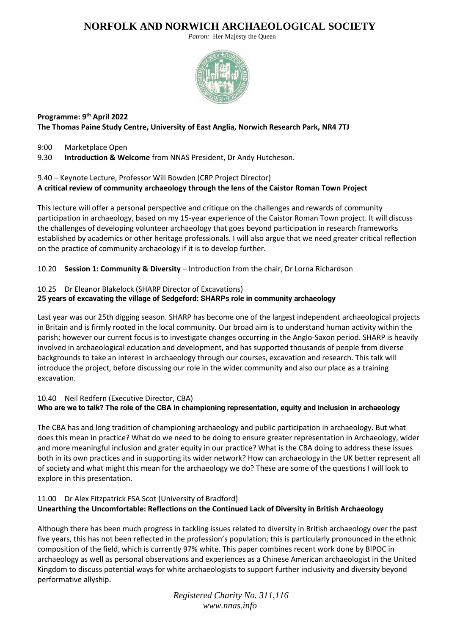*Patron:* Her Majesty the Queen



### **Programme: 9th April 2022 The Thomas Paine Study Centre, University of East Anglia, Norwich Research Park, NR4 7TJ**

9:00 Marketplace Open

9.30 **Introduction & Welcome** from NNAS President, Dr Andy Hutcheson.

## 9.40 – Keynote Lecture, Professor Will Bowden (CRP Project Director) **A critical review of community archaeology through the lens of the Caistor Roman Town Project**

This lecture will offer a personal perspective and critique on the challenges and rewards of community participation in archaeology, based on my 15-year experience of the Caistor Roman Town project. It will discuss the challenges of developing volunteer archaeology that goes beyond participation in research frameworks established by academics or other heritage professionals. I will also argue that we need greater critical reflection on the practice of community archaeology if it is to develop further.

10.20 **Session 1: Community & Diversity** – Introduction from the chair, Dr Lorna Richardson

### 10.25 Dr Eleanor Blakelock (SHARP Director of Excavations)

### **25 years of excavating the village of Sedgeford: SHARPs role in community archaeology**

Last year was our 25th digging season. SHARP has become one of the largest independent archaeological projects in Britain and is firmly rooted in the local community. Our broad aim is to understand human activity within the parish; however our current focus is to investigate changes occurring in the Anglo-Saxon period. SHARP is heavily involved in archaeological education and development, and has supported thousands of people from diverse backgrounds to take an interest in archaeology through our courses, excavation and research. This talk will introduce the project, before discussing our role in the wider community and also our place as a training excavation.

#### 10.40 Neil Redfern (Executive Director, CBA) **Who are we to talk? The role of the CBA in championing representation, equity and inclusion in archaeology**

The CBA has and long tradition of championing archaeology and public participation in archaeology. But what does this mean in practice? What do we need to be doing to ensure greater representation in Archaeology, wider and more meaningful inclusion and grater equity in our practice? What is the CBA doing to address these issues both in its own practices and in supporting its wider network? How can archaeology in the UK better represent all of society and what might this mean for the archaeology we do? These are some of the questions I will look to explore in this presentation.

### 11.00 Dr Alex Fitzpatrick FSA Scot (University of Bradford) **Unearthing the Uncomfortable: Reflections on the Continued Lack of Diversity in British Archaeology**

Although there has been much progress in tackling issues related to diversity in British archaeology over the past five years, this has not been reflected in the profession's population; this is particularly pronounced in the ethnic composition of the field, which is currently 97% white. This paper combines recent work done by BIPOC in archaeology as well as personal observations and experiences as a Chinese American archaeologist in the United Kingdom to discuss potential ways for white archaeologists to support further inclusivity and diversity beyond performative allyship.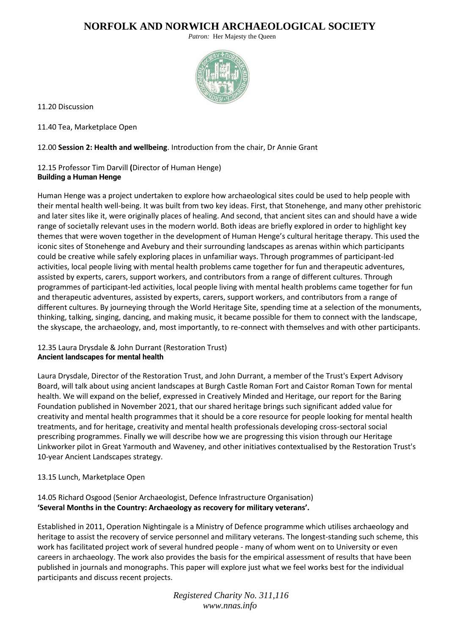*Patron:* Her Majesty the Queen



11.20 Discussion

11.40 Tea, Marketplace Open

12.00 **Session 2: Health and wellbeing**. Introduction from the chair, Dr Annie Grant

### 12.15 Professor Tim Darvill **(**Director of Human Henge) **Building a Human Henge**

Human Henge was a project undertaken to explore how archaeological sites could be used to help people with their mental health well-being. It was built from two key ideas. First, that Stonehenge, and many other prehistoric and later sites like it, were originally places of healing. And second, that ancient sites can and should have a wide range of societally relevant uses in the modern world. Both ideas are briefly explored in order to highlight key themes that were woven together in the development of Human Henge's cultural heritage therapy. This used the iconic sites of Stonehenge and Avebury and their surrounding landscapes as arenas within which participants could be creative while safely exploring places in unfamiliar ways. Through programmes of participant-led activities, local people living with mental health problems came together for fun and therapeutic adventures, assisted by experts, carers, support workers, and contributors from a range of different cultures. Through programmes of participant-led activities, local people living with mental health problems came together for fun and therapeutic adventures, assisted by experts, carers, support workers, and contributors from a range of different cultures. By journeying through the World Heritage Site, spending time at a selection of the monuments, thinking, talking, singing, dancing, and making music, it became possible for them to connect with the landscape, the skyscape, the archaeology, and, most importantly, to re-connect with themselves and with other participants.

### 12.35 Laura Drysdale & John Durrant (Restoration Trust) **Ancient landscapes for mental health**

Laura Drysdale, Director of the Restoration Trust, and John Durrant, a member of the Trust's Expert Advisory Board, will talk about using ancient landscapes at Burgh Castle Roman Fort and Caistor Roman Town for mental health. We will expand on the belief, expressed in Creatively Minded and Heritage, our report for the Baring Foundation published in November 2021, that our shared heritage brings such significant added value for creativity and mental health programmes that it should be a core resource for people looking for mental health treatments, and for heritage, creativity and mental health professionals developing cross-sectoral social prescribing programmes. Finally we will describe how we are progressing this vision through our Heritage Linkworker pilot in Great Yarmouth and Waveney, and other initiatives contextualised by the Restoration Trust's 10-year Ancient Landscapes strategy.

### 13.15 Lunch, Marketplace Open

### 14.05 Richard Osgood (Senior Archaeologist, Defence Infrastructure Organisation) **'Several Months in the Country: Archaeology as recovery for military veterans'.**

Established in 2011, Operation Nightingale is a Ministry of Defence programme which utilises archaeology and heritage to assist the recovery of service personnel and military veterans. The longest-standing such scheme, this work has facilitated project work of several hundred people - many of whom went on to University or even careers in archaeology. The work also provides the basis for the empirical assessment of results that have been published in journals and monographs. This paper will explore just what we feel works best for the individual participants and discuss recent projects.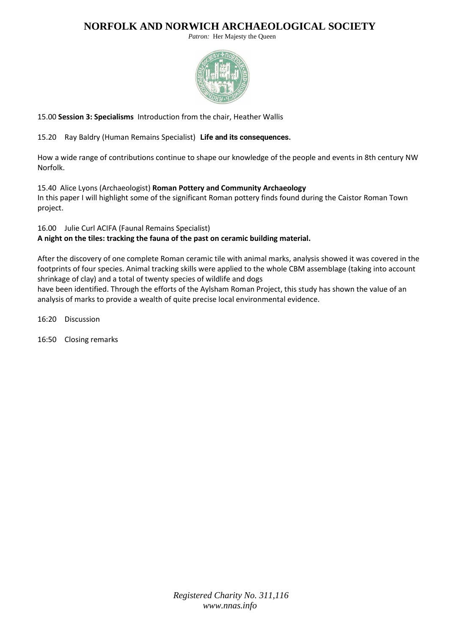*Patron:* Her Majesty the Queen



### 15.00 **Session 3: Specialisms** Introduction from the chair, Heather Wallis

### 15.20 Ray Baldry (Human Remains Specialist) **Life and its consequences.**

How a wide range of contributions continue to shape our knowledge of the people and events in 8th century NW Norfolk.

### 15.40 Alice Lyons (Archaeologist) **Roman Pottery and Community Archaeology**

In this paper I will highlight some of the significant Roman pottery finds found during the Caistor Roman Town project.

#### 16.00 Julie Curl ACIFA (Faunal Remains Specialist)

**A night on the tiles: tracking the fauna of the past on ceramic building material.**

After the discovery of one complete Roman ceramic tile with animal marks, analysis showed it was covered in the footprints of four species. Animal tracking skills were applied to the whole CBM assemblage (taking into account shrinkage of clay) and a total of twenty species of wildlife and dogs

have been identified. Through the efforts of the Aylsham Roman Project, this study has shown the value of an analysis of marks to provide a wealth of quite precise local environmental evidence.

16:20 Discussion

16:50 Closing remarks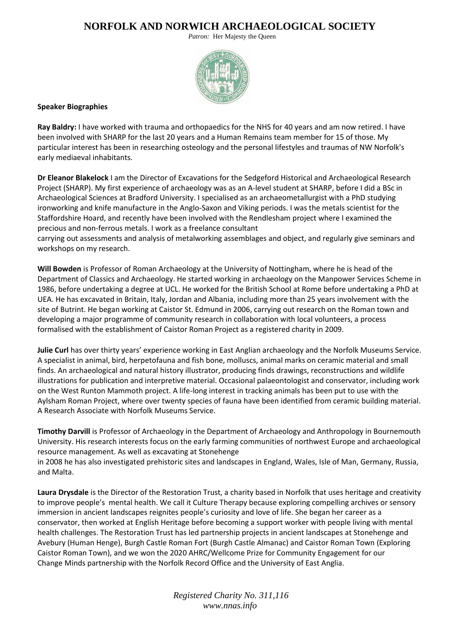*Patron:* Her Majesty the Queen



#### **Speaker Biographies**

**Ray Baldry:** I have worked with trauma and orthopaedics for the NHS for 40 years and am now retired. I have been involved with SHARP for the last 20 years and a Human Remains team member for 15 of those. My particular interest has been in researching osteology and the personal lifestyles and traumas of NW Norfolk's early mediaeval inhabitants.

**Dr Eleanor Blakelock** I am the Director of Excavations for the Sedgeford Historical and Archaeological Research Project (SHARP). My first experience of archaeology was as an A-level student at SHARP, before I did a BSc in Archaeological Sciences at Bradford University. I specialised as an archaeometallurgist with a PhD studying ironworking and knife manufacture in the Anglo-Saxon and Viking periods. I was the metals scientist for the Staffordshire Hoard, and recently have been involved with the Rendlesham project where I examined the precious and non-ferrous metals. I work as a freelance consultant

carrying out assessments and analysis of metalworking assemblages and object, and regularly give seminars and workshops on my research.

**Will Bowden** is Professor of Roman Archaeology at the University of Nottingham, where he is head of the Department of Classics and Archaeology. He started working in archaeology on the Manpower Services Scheme in 1986, before undertaking a degree at UCL. He worked for the British School at Rome before undertaking a PhD at UEA. He has excavated in Britain, Italy, Jordan and Albania, including more than 25 years involvement with the site of Butrint. He began working at Caistor St. Edmund in 2006, carrying out research on the Roman town and developing a major programme of community research in collaboration with local volunteers, a process formalised with the establishment of Caistor Roman Project as a registered charity in 2009.

**Julie Curl** has over thirty years' experience working in East Anglian archaeology and the Norfolk Museums Service. A specialist in animal, bird, herpetofauna and fish bone, molluscs, animal marks on ceramic material and small finds. An archaeological and natural history illustrator, producing finds drawings, reconstructions and wildlife illustrations for publication and interpretive material. Occasional palaeontologist and conservator, including work on the West Runton Mammoth project. A life-long interest in tracking animals has been put to use with the Aylsham Roman Project, where over twenty species of fauna have been identified from ceramic building material. A Research Associate with Norfolk Museums Service.

**Timothy Darvill** is Professor of Archaeology in the Department of Archaeology and Anthropology in Bournemouth University. His research interests focus on the early farming communities of northwest Europe and archaeological resource management. As well as excavating at Stonehenge

in 2008 he has also investigated prehistoric sites and landscapes in England, Wales, Isle of Man, Germany, Russia, and Malta.

**Laura Drysdale** is the Director of the Restoration Trust, a charity based in Norfolk that uses heritage and creativity to improve people's mental health. We call it Culture Therapy because exploring compelling archives or sensory immersion in ancient landscapes reignites people's curiosity and love of life. She began her career as a conservator, then worked at English Heritage before becoming a support worker with people living with mental health challenges. The Restoration Trust has led partnership projects in ancient landscapes at Stonehenge and Avebury (Human Henge), Burgh Castle Roman Fort (Burgh Castle Almanac) and Caistor Roman Town (Exploring Caistor Roman Town), and we won the 2020 AHRC/Wellcome Prize for Community Engagement for our Change Minds partnership with the Norfolk Record Office and the University of East Anglia.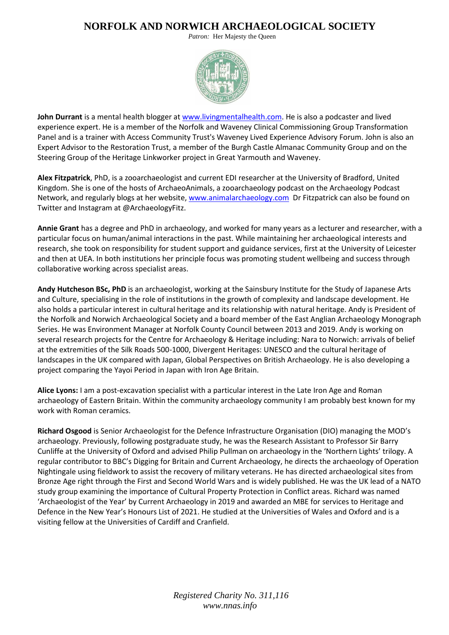*Patron:* Her Majesty the Queen



**John Durrant** is a mental health blogger a[t www.livingmentalhealth.com.](http://www.livingmentalhealth.com/) He is also a podcaster and lived experience expert. He is a member of the Norfolk and Waveney Clinical Commissioning Group Transformation Panel and is a trainer with Access Community Trust's Waveney Lived Experience Advisory Forum. John is also an Expert Advisor to the Restoration Trust, a member of the Burgh Castle Almanac Community Group and on the Steering Group of the Heritage Linkworker project in Great Yarmouth and Waveney.

**Alex Fitzpatrick**, PhD, is a zooarchaeologist and current EDI researcher at the University of Bradford, United Kingdom. She is one of the hosts of ArchaeoAnimals, a zooarchaeology podcast on the Archaeology Podcast Network, and regularly blogs at her website, [www.animalarchaeology.com](http://www.animalarchaeology.com/) Dr Fitzpatrick can also be found on Twitter and Instagram at @ArchaeologyFitz.

**Annie Grant** has a degree and PhD in archaeology, and worked for many years as a lecturer and researcher, with a particular focus on human/animal interactions in the past. While maintaining her archaeological interests and research, she took on responsibility for student support and guidance services, first at the University of Leicester and then at UEA. In both institutions her principle focus was promoting student wellbeing and success through collaborative working across specialist areas.

**Andy Hutcheson BSc, PhD** is an archaeologist, working at the Sainsbury Institute for the Study of Japanese Arts and Culture, specialising in the role of institutions in the growth of complexity and landscape development. He also holds a particular interest in cultural heritage and its relationship with natural heritage. Andy is President of the Norfolk and Norwich Archaeological Society and a board member of the East Anglian Archaeology Monograph Series. He was Environment Manager at Norfolk County Council between 2013 and 2019. Andy is working on several research projects for the Centre for Archaeology & Heritage including: Nara to Norwich: arrivals of belief at the extremities of the Silk Roads 500-1000, Divergent Heritages: UNESCO and the cultural heritage of landscapes in the UK compared with Japan, Global Perspectives on British Archaeology. He is also developing a project comparing the Yayoi Period in Japan with Iron Age Britain.

**Alice Lyons:** I am a post-excavation specialist with a particular interest in the Late Iron Age and Roman archaeology of Eastern Britain. Within the community archaeology community I am probably best known for my work with Roman ceramics.

**Richard Osgood** is Senior Archaeologist for the Defence Infrastructure Organisation (DIO) managing the MOD's archaeology. Previously, following postgraduate study, he was the Research Assistant to Professor Sir Barry Cunliffe at the University of Oxford and advised Philip Pullman on archaeology in the 'Northern Lights' trilogy. A regular contributor to BBC's Digging for Britain and Current Archaeology, he directs the archaeology of Operation Nightingale using fieldwork to assist the recovery of military veterans. He has directed archaeological sites from Bronze Age right through the First and Second World Wars and is widely published. He was the UK lead of a NATO study group examining the importance of Cultural Property Protection in Conflict areas. Richard was named 'Archaeologist of the Year' by Current Archaeology in 2019 and awarded an MBE for services to Heritage and Defence in the New Year's Honours List of 2021. He studied at the Universities of Wales and Oxford and is a visiting fellow at the Universities of Cardiff and Cranfield.